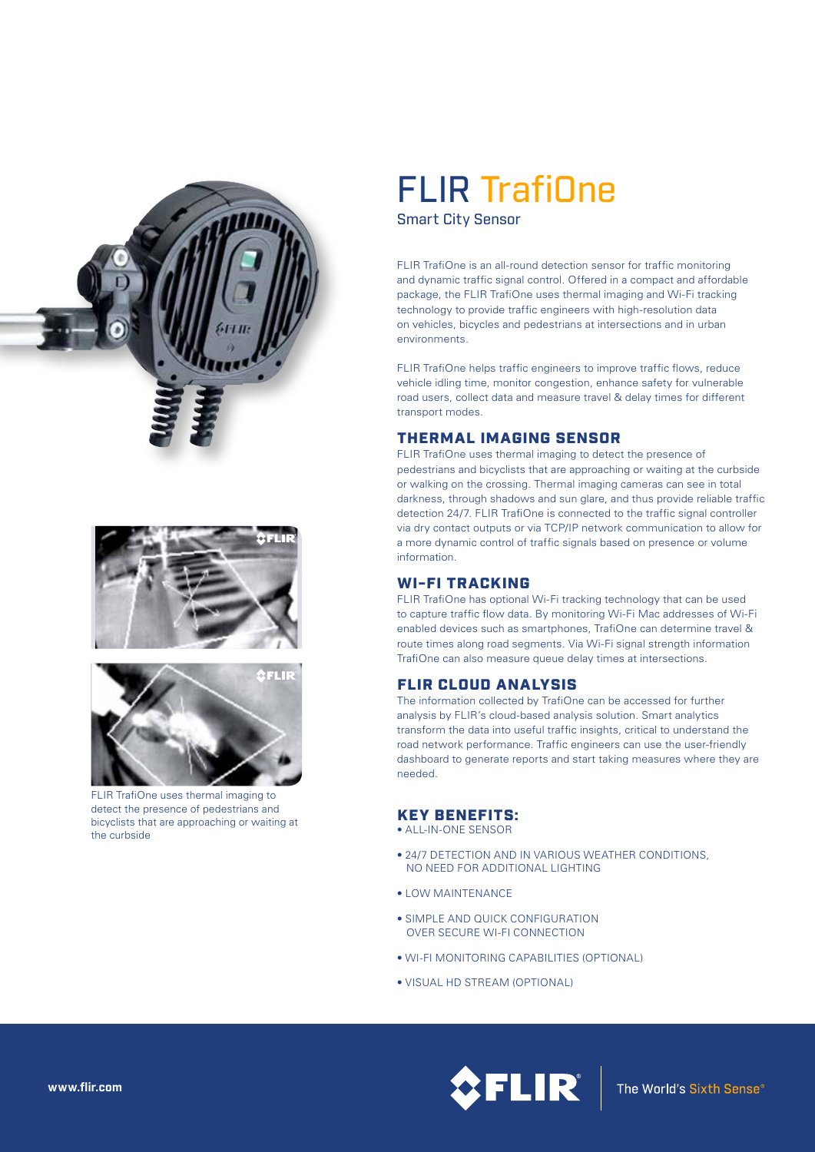





FLIR TrafiOne uses thermal imaging to detect the presence of pedestrians and bicyclists that are approaching or waiting at the curbside

# FLIR TrafiOne

Smart City Sensor

FLIR TrafiOne is an all-round detection sensor for traffic monitoring and dynamic traffic signal control. Offered in a compact and affordable package, the FLIR TrafiOne uses thermal imaging and Wi-Fi tracking technology to provide traffic engineers with high-resolution data on vehicles, bicycles and pedestrians at intersections and in urban environments.

FLIR TrafiOne helps traffic engineers to improve traffic flows, reduce vehicle idling time, monitor congestion, enhance safety for vulnerable road users, collect data and measure travel & delay times for different transport modes.

## THERMAL IMAGING SENSOR

FLIR TrafiOne uses thermal imaging to detect the presence of pedestrians and bicyclists that are approaching or waiting at the curbside or walking on the crossing. Thermal imaging cameras can see in total darkness, through shadows and sun glare, and thus provide reliable traffic detection 24/7. FLIR TrafiOne is connected to the traffic signal controller via dry contact outputs or via TCP/IP network communication to allow for a more dynamic control of traffic signals based on presence or volume information.

## WI-FI TRACKING

FLIR TrafiOne has optional Wi-Fi tracking technology that can be used to capture traffic flow data. By monitoring Wi-Fi Mac addresses of Wi-Fi enabled devices such as smartphones, TrafiOne can determine travel & route times along road segments. Via Wi-Fi signal strength information TrafiOne can also measure queue delay times at intersections.

## FLIR CLOUD ANALYSIS

The information collected by TrafiOne can be accessed for further analysis by FLIR's cloud-based analysis solution. Smart analytics transform the data into useful traffic insights, critical to understand the road network performance. Traffic engineers can use the user-friendly dashboard to generate reports and start taking measures where they are needed.

## KEY BENEFITS:

- ALL-IN-ONE SENSOR
- 24/7 DETECTION AND IN VARIOUS WEATHER CONDITIONS, NO NEED FOR ADDITIONAL LIGHTING
- LOW MAINTENANCE
- SIMPLE AND QUICK CONFIGURATION OVER SECURE WI-FI CONNECTION
- WI-FI MONITORING CAPABILITIES (OPTIONAL)
- VISUAL HD STREAM (OPTIONAL)